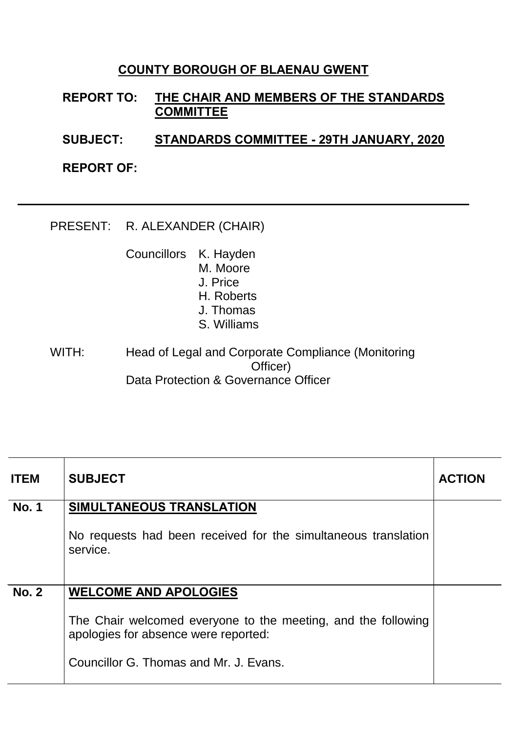## **COUNTY BOROUGH OF BLAENAU GWENT**

**REPORT TO: THE CHAIR AND MEMBERS OF THE STANDARDS COMMITTEE**

**SUBJECT: STANDARDS COMMITTEE - 29TH JANUARY, 2020**

**REPORT OF:**

PRESENT: R. ALEXANDER (CHAIR)

Councillors K. Hayden M. Moore J. Price H. Roberts J. Thomas S. Williams

WITH: Head of Legal and Corporate Compliance (Monitoring Officer) Data Protection & Governance Officer

| <b>ITEM</b>  | <b>SUBJECT</b>                                                                                        | <b>ACTION</b> |
|--------------|-------------------------------------------------------------------------------------------------------|---------------|
| <b>No. 1</b> | SIMULTANEOUS TRANSLATION                                                                              |               |
|              | No requests had been received for the simultaneous translation<br>service.                            |               |
| <b>No. 2</b> | <b>WELCOME AND APOLOGIES</b>                                                                          |               |
|              | The Chair welcomed everyone to the meeting, and the following<br>apologies for absence were reported: |               |
|              | Councillor G. Thomas and Mr. J. Evans.                                                                |               |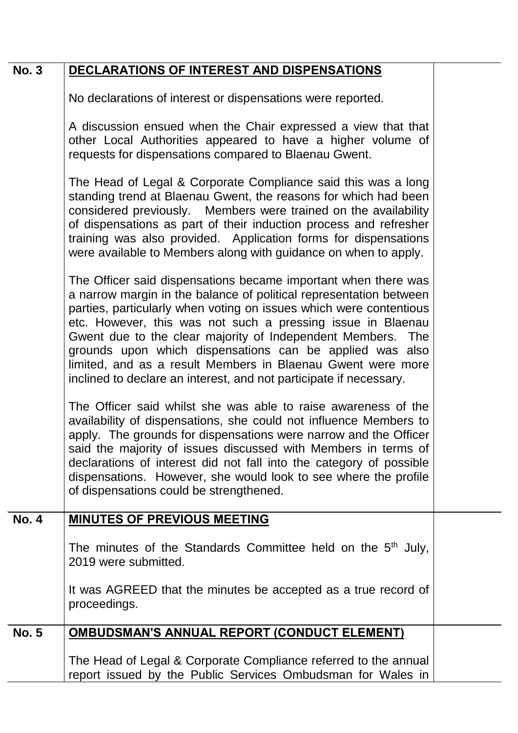| <b>No. 3</b> | DECLARATIONS OF INTEREST AND DISPENSATIONS |
|--------------|--------------------------------------------|
|              |                                            |

No declarations of interest or dispensations were reported.

A discussion ensued when the Chair expressed a view that that other Local Authorities appeared to have a higher volume of requests for dispensations compared to Blaenau Gwent.

The Head of Legal & Corporate Compliance said this was a long standing trend at Blaenau Gwent, the reasons for which had been considered previously. Members were trained on the availability of dispensations as part of their induction process and refresher training was also provided. Application forms for dispensations were available to Members along with guidance on when to apply.

The Officer said dispensations became important when there was a narrow margin in the balance of political representation between parties, particularly when voting on issues which were contentious etc. However, this was not such a pressing issue in Blaenau Gwent due to the clear majority of Independent Members. The grounds upon which dispensations can be applied was also limited, and as a result Members in Blaenau Gwent were more inclined to declare an interest, and not participate if necessary.

The Officer said whilst she was able to raise awareness of the availability of dispensations, she could not influence Members to apply. The grounds for dispensations were narrow and the Officer said the majority of issues discussed with Members in terms of declarations of interest did not fall into the category of possible dispensations. However, she would look to see where the profile of dispensations could be strengthened.

| <b>No. 4</b> | <b>MINUTES OF PREVIOUS MEETING</b>                                       |  |
|--------------|--------------------------------------------------------------------------|--|
|              |                                                                          |  |
|              |                                                                          |  |
|              | The minutes of the Standards Committee held on the 5 <sup>th</sup> July, |  |
|              | 2019 were submitted.                                                     |  |
|              |                                                                          |  |
|              |                                                                          |  |
|              | It was AGREED that the minutes be accepted as a true record of           |  |
|              | proceedings.                                                             |  |
|              |                                                                          |  |
|              |                                                                          |  |
| <b>No. 5</b> | <b>OMBUDSMAN'S ANNUAL REPORT (CONDUCT ELEMENT)</b>                       |  |
|              |                                                                          |  |
|              |                                                                          |  |
|              | The Head of Legal & Corporate Compliance referred to the annual          |  |
|              | report issued by the Public Services Ombudsman for Wales in              |  |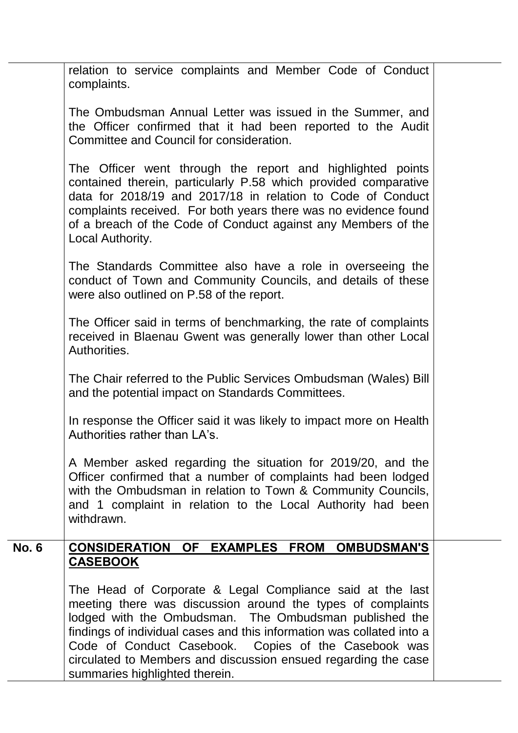| relation to service complaints and Member Code of Conduct<br>complaints.                                                                                                                                                                                                                                                                                                                                                |  |
|-------------------------------------------------------------------------------------------------------------------------------------------------------------------------------------------------------------------------------------------------------------------------------------------------------------------------------------------------------------------------------------------------------------------------|--|
| The Ombudsman Annual Letter was issued in the Summer, and<br>the Officer confirmed that it had been reported to the Audit<br>Committee and Council for consideration.                                                                                                                                                                                                                                                   |  |
| The Officer went through the report and highlighted points<br>contained therein, particularly P.58 which provided comparative<br>data for 2018/19 and 2017/18 in relation to Code of Conduct<br>complaints received. For both years there was no evidence found<br>of a breach of the Code of Conduct against any Members of the<br>Local Authority.                                                                    |  |
| The Standards Committee also have a role in overseeing the<br>conduct of Town and Community Councils, and details of these<br>were also outlined on P.58 of the report.                                                                                                                                                                                                                                                 |  |
| The Officer said in terms of benchmarking, the rate of complaints<br>received in Blaenau Gwent was generally lower than other Local<br>Authorities.                                                                                                                                                                                                                                                                     |  |
| The Chair referred to the Public Services Ombudsman (Wales) Bill<br>and the potential impact on Standards Committees.                                                                                                                                                                                                                                                                                                   |  |
| In response the Officer said it was likely to impact more on Health<br>Authorities rather than LA's.                                                                                                                                                                                                                                                                                                                    |  |
| A Member asked regarding the situation for 2019/20, and the<br>Officer confirmed that a number of complaints had been lodged<br>with the Ombudsman in relation to Town & Community Councils,<br>and 1 complaint in relation to the Local Authority had been<br>withdrawn.                                                                                                                                               |  |
| CONSIDERATION OF EXAMPLES FROM OMBUDSMAN'S<br><b>CASEBOOK</b>                                                                                                                                                                                                                                                                                                                                                           |  |
| The Head of Corporate & Legal Compliance said at the last<br>meeting there was discussion around the types of complaints<br>lodged with the Ombudsman. The Ombudsman published the<br>findings of individual cases and this information was collated into a<br>Code of Conduct Casebook. Copies of the Casebook was<br>circulated to Members and discussion ensued regarding the case<br>summaries highlighted therein. |  |
|                                                                                                                                                                                                                                                                                                                                                                                                                         |  |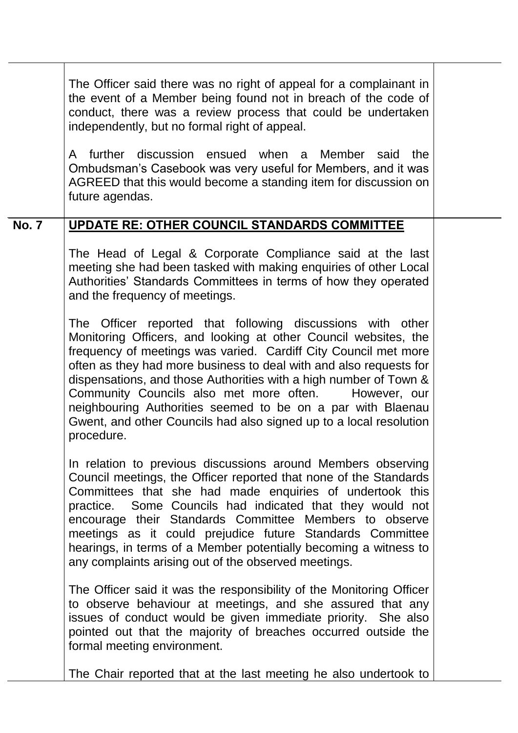|              | The Officer said there was no right of appeal for a complainant in<br>the event of a Member being found not in breach of the code of<br>conduct, there was a review process that could be undertaken<br>independently, but no formal right of appeal.<br>A further discussion ensued when a Member said the<br>Ombudsman's Casebook was very useful for Members, and it was<br>AGREED that this would become a standing item for discussion on<br>future agendas.                                                                                         |  |
|--------------|-----------------------------------------------------------------------------------------------------------------------------------------------------------------------------------------------------------------------------------------------------------------------------------------------------------------------------------------------------------------------------------------------------------------------------------------------------------------------------------------------------------------------------------------------------------|--|
|              |                                                                                                                                                                                                                                                                                                                                                                                                                                                                                                                                                           |  |
| <b>No. 7</b> | UPDATE RE: OTHER COUNCIL STANDARDS COMMITTEE<br>The Head of Legal & Corporate Compliance said at the last<br>meeting she had been tasked with making enquiries of other Local<br>Authorities' Standards Committees in terms of how they operated<br>and the frequency of meetings.                                                                                                                                                                                                                                                                        |  |
|              | The Officer reported that following discussions with other<br>Monitoring Officers, and looking at other Council websites, the<br>frequency of meetings was varied. Cardiff City Council met more<br>often as they had more business to deal with and also requests for<br>dispensations, and those Authorities with a high number of Town &<br>Community Councils also met more often.<br>However, our<br>neighbouring Authorities seemed to be on a par with Blaenau<br>Gwent, and other Councils had also signed up to a local resolution<br>procedure. |  |
|              | In relation to previous discussions around Members observing<br>Council meetings, the Officer reported that none of the Standards<br>Committees that she had made enquiries of undertook this<br>practice. Some Councils had indicated that they would not<br>encourage their Standards Committee Members to observe<br>meetings as it could prejudice future Standards Committee<br>hearings, in terms of a Member potentially becoming a witness to<br>any complaints arising out of the observed meetings.                                             |  |
|              | The Officer said it was the responsibility of the Monitoring Officer<br>to observe behaviour at meetings, and she assured that any<br>issues of conduct would be given immediate priority. She also<br>pointed out that the majority of breaches occurred outside the<br>formal meeting environment.                                                                                                                                                                                                                                                      |  |
|              | The Chair reported that at the last meeting he also undertook to                                                                                                                                                                                                                                                                                                                                                                                                                                                                                          |  |
|              |                                                                                                                                                                                                                                                                                                                                                                                                                                                                                                                                                           |  |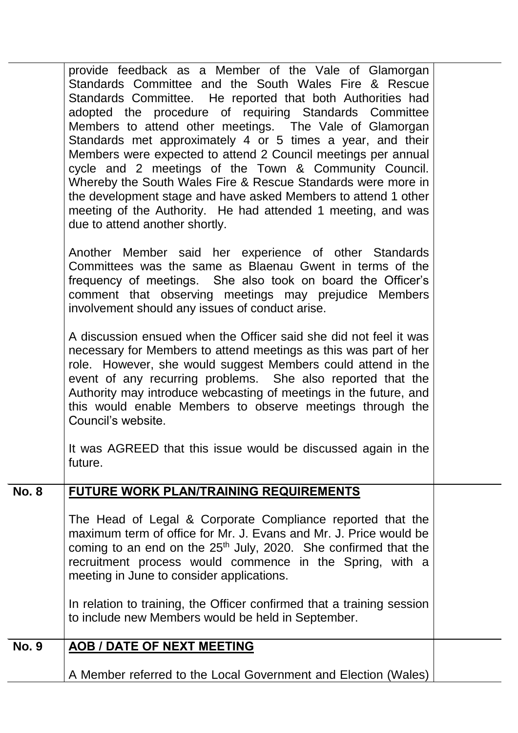|              | provide feedback as a Member of the Vale of Glamorgan<br>Standards Committee and the South Wales Fire & Rescue<br>Standards Committee. He reported that both Authorities had<br>adopted the procedure of requiring Standards Committee<br>Members to attend other meetings. The Vale of Glamorgan<br>Standards met approximately 4 or 5 times a year, and their<br>Members were expected to attend 2 Council meetings per annual<br>cycle and 2 meetings of the Town & Community Council.<br>Whereby the South Wales Fire & Rescue Standards were more in<br>the development stage and have asked Members to attend 1 other<br>meeting of the Authority. He had attended 1 meeting, and was<br>due to attend another shortly. |  |
|--------------|-------------------------------------------------------------------------------------------------------------------------------------------------------------------------------------------------------------------------------------------------------------------------------------------------------------------------------------------------------------------------------------------------------------------------------------------------------------------------------------------------------------------------------------------------------------------------------------------------------------------------------------------------------------------------------------------------------------------------------|--|
|              | Another Member said her experience of other Standards<br>Committees was the same as Blaenau Gwent in terms of the<br>frequency of meetings. She also took on board the Officer's<br>comment that observing meetings may prejudice Members<br>involvement should any issues of conduct arise.                                                                                                                                                                                                                                                                                                                                                                                                                                  |  |
|              | A discussion ensued when the Officer said she did not feel it was<br>necessary for Members to attend meetings as this was part of her<br>role. However, she would suggest Members could attend in the<br>event of any recurring problems. She also reported that the<br>Authority may introduce webcasting of meetings in the future, and<br>this would enable Members to observe meetings through the<br>Council's website.                                                                                                                                                                                                                                                                                                  |  |
|              | It was AGREED that this issue would be discussed again in the<br>future.                                                                                                                                                                                                                                                                                                                                                                                                                                                                                                                                                                                                                                                      |  |
| <b>No. 8</b> | <b>FUTURE WORK PLAN/TRAINING REQUIREMENTS</b>                                                                                                                                                                                                                                                                                                                                                                                                                                                                                                                                                                                                                                                                                 |  |
|              | The Head of Legal & Corporate Compliance reported that the<br>maximum term of office for Mr. J. Evans and Mr. J. Price would be<br>coming to an end on the $25th$ July, 2020. She confirmed that the<br>recruitment process would commence in the Spring, with a<br>meeting in June to consider applications.                                                                                                                                                                                                                                                                                                                                                                                                                 |  |
|              | In relation to training, the Officer confirmed that a training session<br>to include new Members would be held in September.                                                                                                                                                                                                                                                                                                                                                                                                                                                                                                                                                                                                  |  |
| <b>No. 9</b> | <b>AOB / DATE OF NEXT MEETING</b>                                                                                                                                                                                                                                                                                                                                                                                                                                                                                                                                                                                                                                                                                             |  |
|              | A Member referred to the Local Government and Election (Wales)                                                                                                                                                                                                                                                                                                                                                                                                                                                                                                                                                                                                                                                                |  |
|              |                                                                                                                                                                                                                                                                                                                                                                                                                                                                                                                                                                                                                                                                                                                               |  |